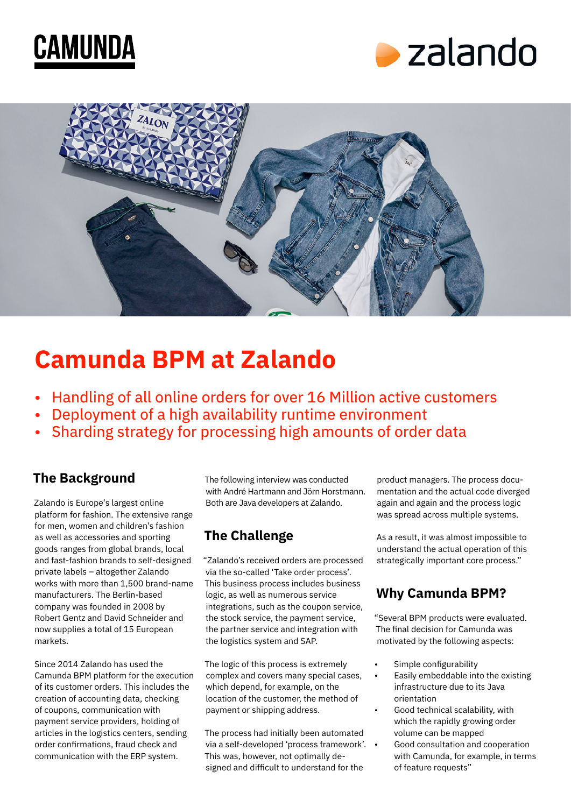





# **Camunda BPM at Zalando**

- Handling of all online orders for over 16 Million active customers
- Deployment of a high availability runtime environment
- Sharding strategy for processing high amounts of order data

### **The Background**

Zalando is Europe's largest online platform for fashion. The extensive range for men, women and children's fashion as well as accessories and sporting goods ranges from global brands, local and fast-fashion brands to self-designed private labels – altogether Zalando works with more than 1,500 brand-name manufacturers. The Berlin-based company was founded in 2008 by Robert Gentz and David Schneider and now supplies a total of 15 European markets.

Since 2014 Zalando has used the Camunda BPM platform for the execution of its customer orders. This includes the creation of accounting data, checking of coupons, communication with payment service providers, holding of articles in the logistics centers, sending order confirmations, fraud check and communication with the ERP system.

The following interview was conducted with André Hartmann and Jörn Horstmann. Both are Java developers at Zalando.

# **The Challenge**

"Zalando's received orders are processed via the so-called 'Take order process'. This business process includes business logic, as well as numerous service integrations, such as the coupon service, the stock service, the payment service, the partner service and integration with the logistics system and SAP.

The logic of this process is extremely complex and covers many special cases, which depend, for example, on the location of the customer, the method of payment or shipping address.

The process had initially been automated via a self-developed 'process framework'. This was, however, not optimally designed and difficult to understand for the

product managers. The process documentation and the actual code diverged again and again and the process logic was spread across multiple systems.

As a result, it was almost impossible to understand the actual operation of this strategically important core process."

# **Why Camunda BPM?**

"Several BPM products were evaluated. The final decision for Camunda was motivated by the following aspects:

- Simple configurability
- Easily embeddable into the existing infrastructure due to its Java orientation
- Good technical scalability, with which the rapidly growing order volume can be mapped
	- Good consultation and cooperation with Camunda, for example, in terms of feature requests"